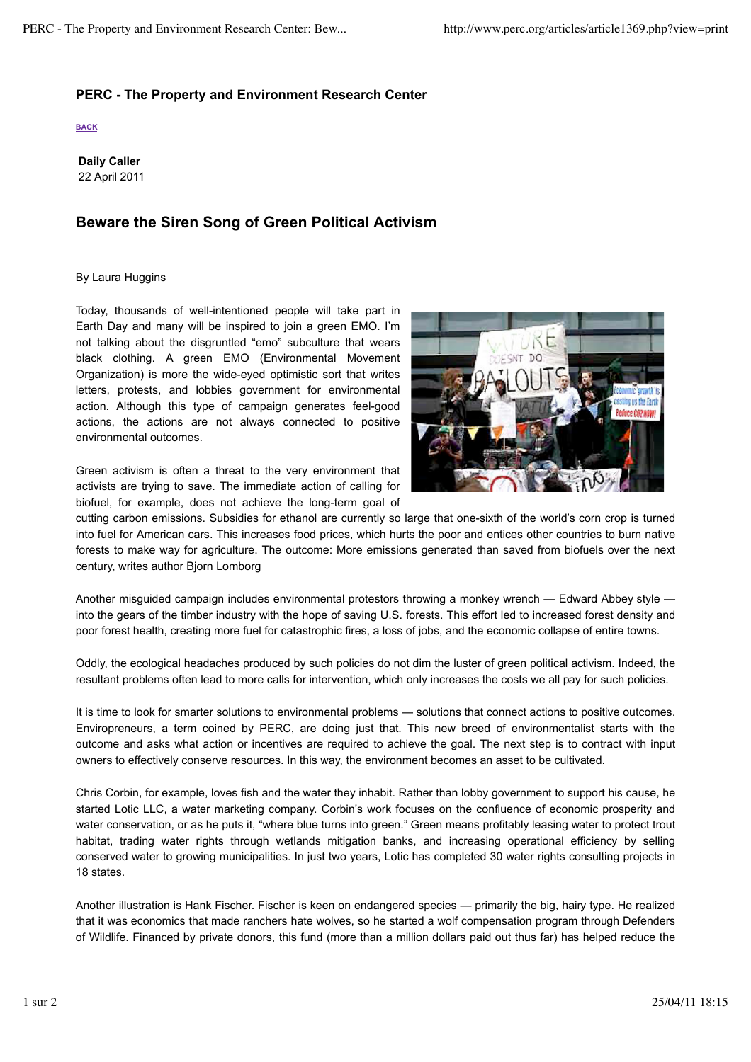## **PERC - The Property and Environment Research Center**

**BACK**

**Daily Caller** 22 April 2011

## **Beware the Siren Song of Green Political Activism**

## By Laura Huggins

Today, thousands of well-intentioned people will take part in Earth Day and many will be inspired to join a green EMO. I'm not talking about the disgruntled "emo" subculture that wears black clothing. A green EMO (Environmental Movement Organization) is more the wide-eyed optimistic sort that writes letters, protests, and lobbies government for environmental action. Although this type of campaign generates feel-good actions, the actions are not always connected to positive environmental outcomes.

Green activism is often a threat to the very environment that activists are trying to save. The immediate action of calling for biofuel, for example, does not achieve the long-term goal of



cutting carbon emissions. Subsidies for ethanol are currently so large that one-sixth of the world's corn crop is turned into fuel for American cars. This increases food prices, which hurts the poor and entices other countries to burn native forests to make way for agriculture. The outcome: More emissions generated than saved from biofuels over the next century, writes author Bjorn Lomborg

Another misguided campaign includes environmental protestors throwing a monkey wrench — Edward Abbey style into the gears of the timber industry with the hope of saving U.S. forests. This effort led to increased forest density and poor forest health, creating more fuel for catastrophic fires, a loss of jobs, and the economic collapse of entire towns.

Oddly, the ecological headaches produced by such policies do not dim the luster of green political activism. Indeed, the resultant problems often lead to more calls for intervention, which only increases the costs we all pay for such policies.

It is time to look for smarter solutions to environmental problems — solutions that connect actions to positive outcomes. Enviropreneurs, a term coined by PERC, are doing just that. This new breed of environmentalist starts with the outcome and asks what action or incentives are required to achieve the goal. The next step is to contract with input owners to effectively conserve resources. In this way, the environment becomes an asset to be cultivated.

Chris Corbin, for example, loves fish and the water they inhabit. Rather than lobby government to support his cause, he started Lotic LLC, a water marketing company. Corbin's work focuses on the confluence of economic prosperity and water conservation, or as he puts it, "where blue turns into green." Green means profitably leasing water to protect trout habitat, trading water rights through wetlands mitigation banks, and increasing operational efficiency by selling conserved water to growing municipalities. In just two years, Lotic has completed 30 water rights consulting projects in 18 states.

Another illustration is Hank Fischer. Fischer is keen on endangered species — primarily the big, hairy type. He realized that it was economics that made ranchers hate wolves, so he started a wolf compensation program through Defenders of Wildlife. Financed by private donors, this fund (more than a million dollars paid out thus far) has helped reduce the